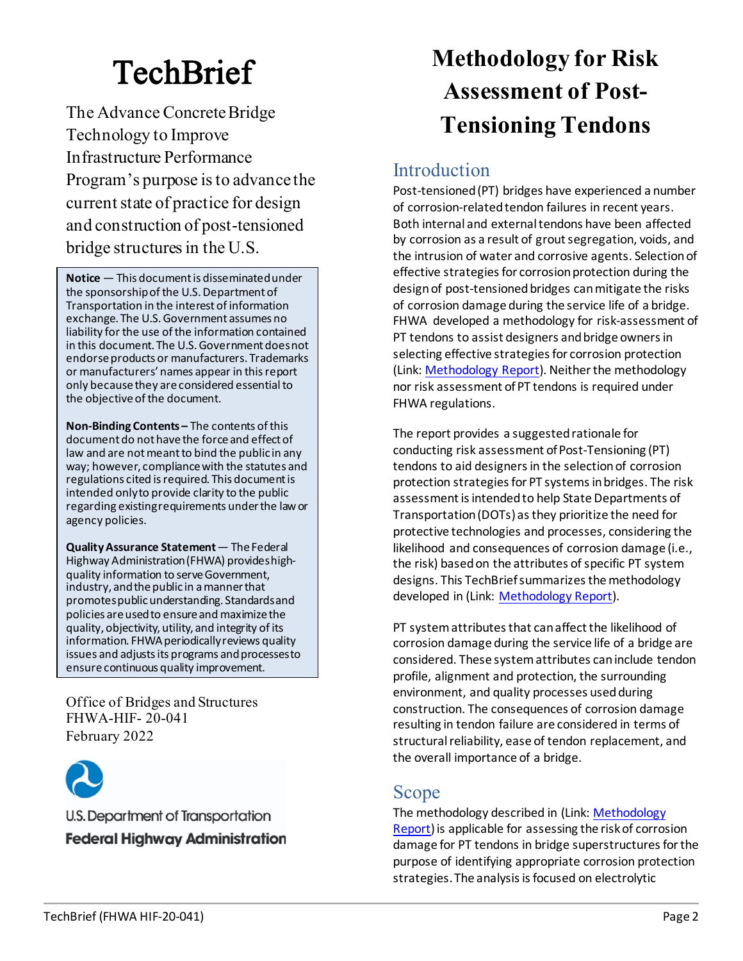# **TechBrief**

The Advance Concrete Bridge Technology to Improve Infrastructure Performance Program's purpose is to advance the current state of practice for design and construction of post-tensioned bridge structures in the U.S.

**Notice** — This document is disseminated under the sponsorship of the U.S. Department of Transportation in the interest of information exchange. The U.S. Government assumes no liability for the use of the information contained in this document. The U.S. Government does not endorse products or manufacturers. Trademarks or manufacturers' names appear in this report only because they are considered essential to the objective of the document.

**Non-Binding Contents –** The contents of this document do not have the force and effect of law and are not meant to bind the public in any way; however, compliance with the statutes and regulations cited is required. This document is intended only to provide clarity to the public regarding existing requirements under the law or agency policies.

**QualityAssurance Statement** — The Federal Highway Administration (FHWA) provides highquality information to serve Government, industry, and the public in a manner that promotes public understanding. Standards and policies are used to ensure and maximize the quality, objectivity, utility, and integrity of its information. FHWA periodically reviews quality issues and adjusts its programs and processes to ensure continuous quality improvement.

Office of Bridges and Structures FHWA-HIF- 20-041 February 2022



U.S. Department of Transportation **Federal Highway Administration** 

## **Methodology for Risk Assessment of Post-Tensioning Tendons**

### Introduction

Post-tensioned (PT) bridges have experienced a number of corrosion-related tendon failures in recent years. Both internal and external tendons have been affected by corrosion as a result of grout segregation, voids, and the intrusion of water and corrosive agents. Selection of effective strategies for corrosion protection during the design of post-tensioned bridges can mitigate the risks of corrosion damage during the service life of a bridge. FHWA developed a methodology for risk-assessment of PT tendons to assist designers and bridge owners in selecting effective strategies for corrosion protection (Link: [Methodology Report\)](https://rosap.ntl.bts.gov/view/dot/61404). Neither the methodology nor risk assessment of PT tendons is required under FHWA regulations.

The report provides a suggested rationale for conducting risk assessment of Post-Tensioning (PT) tendons to aid designers in the selection of corrosion protection strategies for PT systems in bridges. The risk assessment is intended to help State Departments of Transportation (DOTs) as they prioritize the need for protective technologies and processes, considering the likelihood and consequences of corrosion damage (i.e., the risk) based on the attributes of specific PT system designs. This TechBrief summarizes the methodology developed in (Link: [Methodology Report\)](https://rosap.ntl.bts.gov/view/dot/61404).

PT system attributes that can affect the likelihood of corrosion damage during the service life of a bridge are considered. These system attributes can include tendon profile, alignment and protection, the surrounding environment, and quality processes used during construction. The consequences of corrosion damage resulting in tendon failure are considered in terms of structural reliability, ease of tendon replacement, and the overall importance of a bridge.

### Scope

The methodology described in (Link: [Methodology](https://rosap.ntl.bts.gov/view/dot/61404)  [Report\)](https://rosap.ntl.bts.gov/view/dot/61404) is applicable for assessing the risk of corrosion damage for PT tendons in bridge superstructures for the purpose of identifying appropriate corrosion protection strategies. The analysis is focused on electrolytic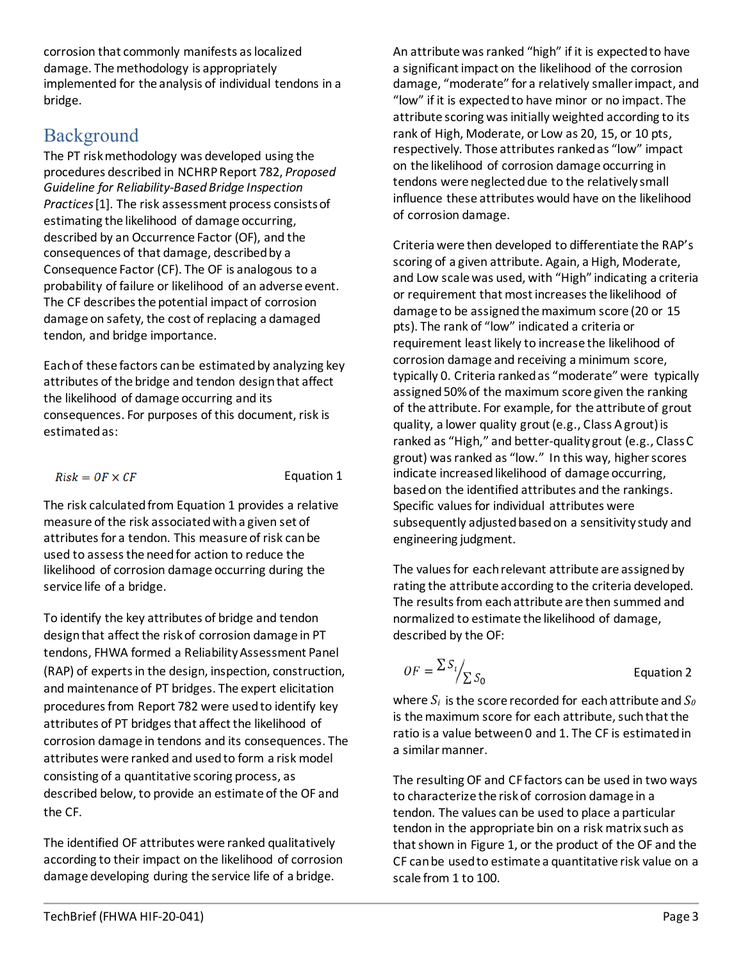corrosion that commonly manifests as localized damage. The methodology is appropriately implemented for the analysis of individual tendons in a bridge.

### Background

The PT risk methodology was developed using the procedures described in NCHRP Report 782, *Proposed Guideline for Reliability-Based Bridge Inspection Practices*[1]. The risk assessment process consists of estimating the likelihood of damage occurring, described by an Occurrence Factor (OF), and the consequences of that damage, described by a Consequence Factor (CF). The OF is analogous to a probability of failure or likelihood of an adverse event. The CF describes the potential impact of corrosion damage on safety, the cost of replacing a damaged tendon, and bridge importance.

Each of these factors can be estimated by analyzing key attributes of the bridge and tendon design that affect the likelihood of damage occurring and its consequences. For purposes of this document, risk is estimated as:

<span id="page-1-0"></span> $Risk = OF \times CF$ 

Equation 1

The risk calculated fro[m Equation 1](#page-1-0) provides a relative measure of the risk associated with a given set of attributes for a tendon. This measure of risk can be used to assess the need for action to reduce the likelihood of corrosion damage occurring during the service life of a bridge.

To identify the key attributes of bridge and tendon design that affect the risk of corrosion damage in PT tendons, FHWA formed a Reliability Assessment Panel (RAP) of experts in the design, inspection, construction, and maintenance of PT bridges. The expert elicitation procedures from Report 782 were used to identify key attributes of PT bridges that affect the likelihood of corrosion damage in tendons and its consequences. The attributes were ranked and used to form a risk model consisting of a quantitative scoring process, as described below, to provide an estimate of the OF and the CF.

The identified OF attributes were ranked qualitatively according to their impact on the likelihood of corrosion damage developing during the service life of a bridge.

An attribute was ranked "high" if it is expected to have a significant impact on the likelihood of the corrosion damage, "moderate" for a relatively smaller impact, and "low" if it is expected to have minor or no impact. The attribute scoring was initially weighted according to its rank of High, Moderate, or Low as 20, 15, or 10 pts, respectively. Those attributes ranked as "low" impact on the likelihood of corrosion damage occurring in tendons were neglected due to the relatively small influence these attributes would have on the likelihood of corrosion damage.

Criteria were then developed to differentiate the RAP's scoring of a given attribute. Again, a High, Moderate, and Low scale was used, with "High" indicating a criteria or requirement that most increases the likelihood of damage to be assigned the maximum score (20 or 15 pts). The rank of "low" indicated a criteria or requirement least likely to increase the likelihood of corrosion damage and receiving a minimum score, typically 0. Criteria ranked as "moderate" were typically assigned 50% of the maximum score given the ranking of the attribute. For example, for the attribute of grout quality, a lower quality grout (e.g., Class A grout) is ranked as "High," and better-quality grout (e.g., Class C grout) was ranked as "low." In this way, higher scores indicate increased likelihood of damage occurring, based on the identified attributes and the rankings. Specific values for individual attributes were subsequently adjusted based on a sensitivity study and engineering judgment.

The values for each relevant attribute are assigned by rating the attribute according to the criteria developed. The results from each attribute are then summed and normalized to estimate the likelihood of damage, described by the OF:

<span id="page-1-1"></span>
$$
OF = \frac{\sum S_i}{\sum S_0}
$$
 Equation 2

where  $S_i$  is the score recorded for each attribute and  $S_0$ is the maximum score for each attribute, such that the ratio is a value between 0 and 1. The CF is estimated in a similar manner.

The resulting OF and CF factors can be used in two ways to characterize the risk of corrosion damage in a tendon. The values can be used to place a particular tendon in the appropriate bin on a risk matrix such as that shown in Figure 1, or the product of the OF and the CF can be used to estimate a quantitative risk value on a scale from 1 to 100.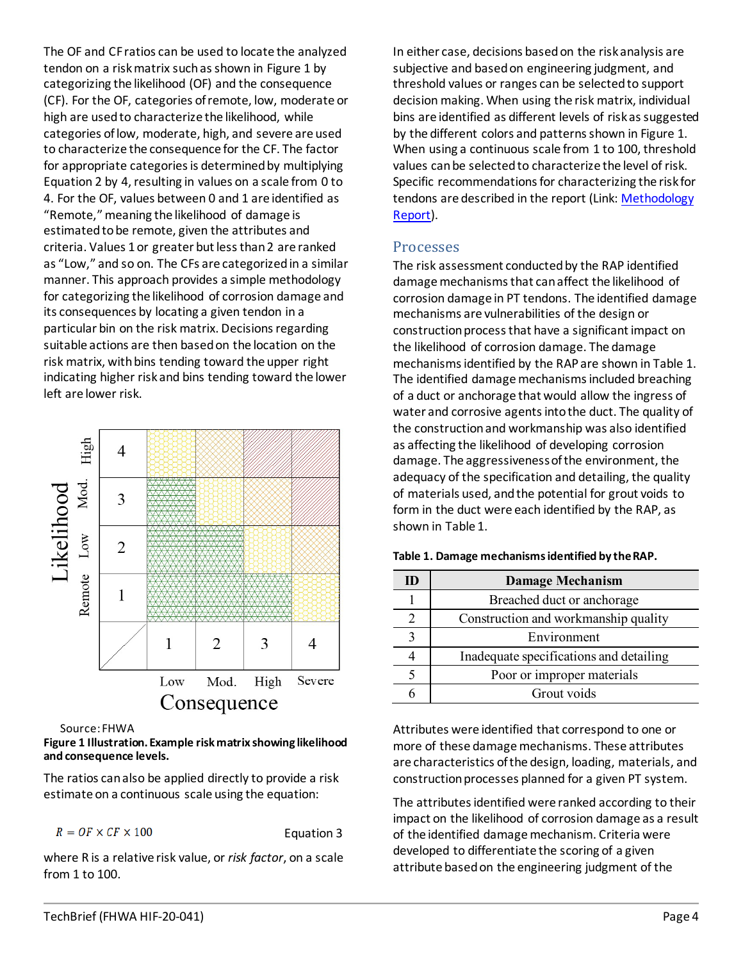The OF and CF ratios can be used to locate the analyzed tendon on a risk matrix such as shown in [Figure 1](#page-2-0) by categorizing the likelihood (OF) and the consequence (CF). For the OF, categories of remote, low, moderate or high are used to characterize the likelihood, while categories of low, moderate, high, and severe are used to characterize the consequence for the CF. The factor for appropriate categories is determined by multiplying [Equation 2](#page-1-1) by 4, resulting in values on a scale from 0 to 4. For the OF, values between 0 and 1 are identified as "Remote," meaning the likelihood of damage is estimated to be remote, given the attributes and criteria. Values 1 or greater but less than 2 are ranked as "Low," and so on. The CFs are categorized in a similar manner. This approach provides a simple methodology for categorizing the likelihood of corrosion damage and its consequences by locating a given tendon in a particular bin on the risk matrix. Decisions regarding suitable actions are then based on the location on the risk matrix, with bins tending toward the upper right indicating higher risk and bins tending toward the lower left are lower risk.



Source: FHWA

#### <span id="page-2-0"></span>**Figure 1 Illustration. Example risk matrix showing likelihood and consequence levels.**

The ratios can also be applied directly to provide a risk estimate on a continuous scale using the equation:

$$
R = OF \times CF \times 100
$$

Equation 3

where R is a relative risk value, or *risk factor*, on a scale from 1 to 100.

In either case, decisions based on the risk analysis are subjective and based on engineering judgment, and threshold values or ranges can be selected to support decision making. When using the risk matrix, individual bins are identified as different levels of risk as suggested by the different colors and patterns shown in [Figure 1.](#page-2-0) When using a continuous scale from 1 to 100, threshold values can be selected to characterize the level of risk. Specific recommendations for characterizing the risk for tendons are described in the report (Link: Methodology [Report\)](https://rosap.ntl.bts.gov/view/dot/61404).

#### Processes

The risk assessment conducted by the RAP identified damage mechanisms that can affect the likelihood of corrosion damage in PT tendons. The identified damage mechanisms are vulnerabilities of the design or construction process that have a significant impact on the likelihood of corrosion damage. The damage mechanisms identified by the RAP are shown i[n Table 1.](#page-2-1) The identified damage mechanisms included breaching of a duct or anchorage that would allow the ingress of water and corrosive agents into the duct. The quality of the construction and workmanship was also identified as affecting the likelihood of developing corrosion damage. The aggressiveness of the environment, the adequacy of the specification and detailing, the quality of materials used, and the potential for grout voids to form in the duct were each identified by the RAP, as shown in [Table 1.](#page-2-1)

| Ш           | <b>Damage Mechanism</b>                 |
|-------------|-----------------------------------------|
|             | Breached duct or anchorage              |
|             | Construction and workmanship quality    |
| $\mathbf 3$ | Environment                             |
|             | Inadequate specifications and detailing |
|             | Poor or improper materials              |
|             | Grout voids                             |

#### <span id="page-2-1"></span>**Table 1. Damage mechanisms identified by the RAP.**

Attributes were identified that correspond to one or more of these damage mechanisms. These attributes are characteristics of the design, loading, materials, and construction processes planned for a given PT system.

The attributes identified were ranked according to their impact on the likelihood of corrosion damage as a result of the identified damage mechanism. Criteria were developed to differentiate the scoring of a given attribute based on the engineering judgment of the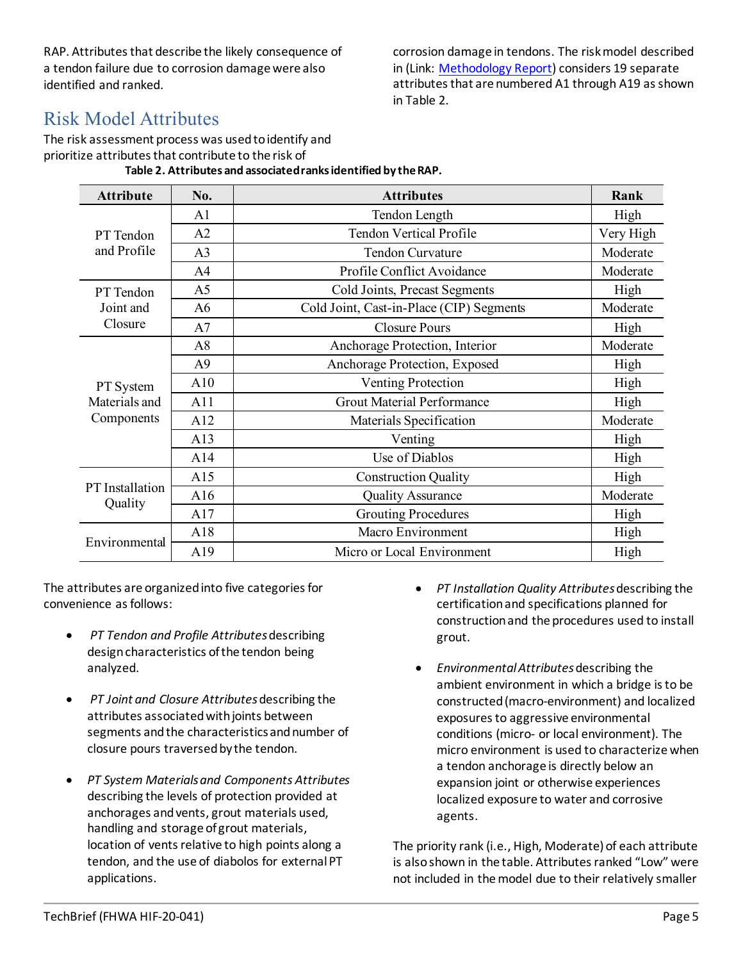RAP. Attributes that describe the likely consequence of a tendon failure due to corrosion damage were also identified and ranked.

corrosion damage in tendons. The risk model described in (Link: [Methodology Report\)](https://rosap.ntl.bts.gov/view/dot/61404) considers 19 separate attributes that are numbered A1 through A19 as shown in [Table 2.](#page-3-0)

### Risk Model Attributes

<span id="page-3-0"></span>The risk assessment process was used to identify and prioritize attributes that contribute to the risk of **Table 2. Attributes and associated ranks identified by the RAP.**

| <b>Attribute</b>                         | No.            | <b>Attributes</b>                        | Rank      |
|------------------------------------------|----------------|------------------------------------------|-----------|
| PT Tendon<br>and Profile                 | A <sub>1</sub> | Tendon Length                            | High      |
|                                          | A2             | <b>Tendon Vertical Profile</b>           | Very High |
|                                          | A <sub>3</sub> | Tendon Curvature                         | Moderate  |
|                                          | A <sup>4</sup> | Profile Conflict Avoidance               | Moderate  |
| PT Tendon                                | A <sub>5</sub> | Cold Joints, Precast Segments            | High      |
| Joint and<br>Closure                     | A6             | Cold Joint, Cast-in-Place (CIP) Segments | Moderate  |
|                                          | A7             | <b>Closure Pours</b>                     | High      |
| PT System<br>Materials and<br>Components | A8             | Anchorage Protection, Interior           | Moderate  |
|                                          | A <sub>9</sub> | Anchorage Protection, Exposed            | High      |
|                                          | A10            | Venting Protection                       | High      |
|                                          | A11            | <b>Grout Material Performance</b>        | High      |
|                                          | A12            | Materials Specification                  | Moderate  |
|                                          | A13            | Venting                                  | High      |
|                                          | A14            | Use of Diablos                           | High      |
|                                          | A15            | <b>Construction Quality</b>              | High      |
| PT Installation<br>Quality               | A16            | <b>Quality Assurance</b>                 | Moderate  |
|                                          | A17            | <b>Grouting Procedures</b>               | High      |
| Environmental                            | A18            | Macro Environment                        | High      |
|                                          | A19            | Micro or Local Environment               | High      |

The attributes are organized into five categories for convenience as follows:

- *PT Tendon and Profile Attributes*describing design characteristics of the tendon being analyzed.
- *PT Joint and Closure Attributes*describing the attributes associated with joints between segments and the characteristics and number of closure pours traversed by the tendon.
- *PT System Materials and Components Attributes* describing the levels of protection provided at anchorages and vents, grout materials used, handling and storage of grout materials, location of vents relative to high points along a tendon, and the use of diabolos for external PT applications.
- *PT Installation Quality Attributes*describing the certification and specifications planned for construction and the procedures used to install grout.
- *Environmental Attributes*describing the ambient environment in which a bridge is to be constructed (macro-environment) and localized exposures to aggressive environmental conditions (micro- or local environment). The micro environment is used to characterize when a tendon anchorage is directly below an expansion joint or otherwise experiences localized exposure to water and corrosive agents.

The priority rank (i.e., High, Moderate) of each attribute is also shown in the table. Attributes ranked "Low" were not included in the model due to their relatively smaller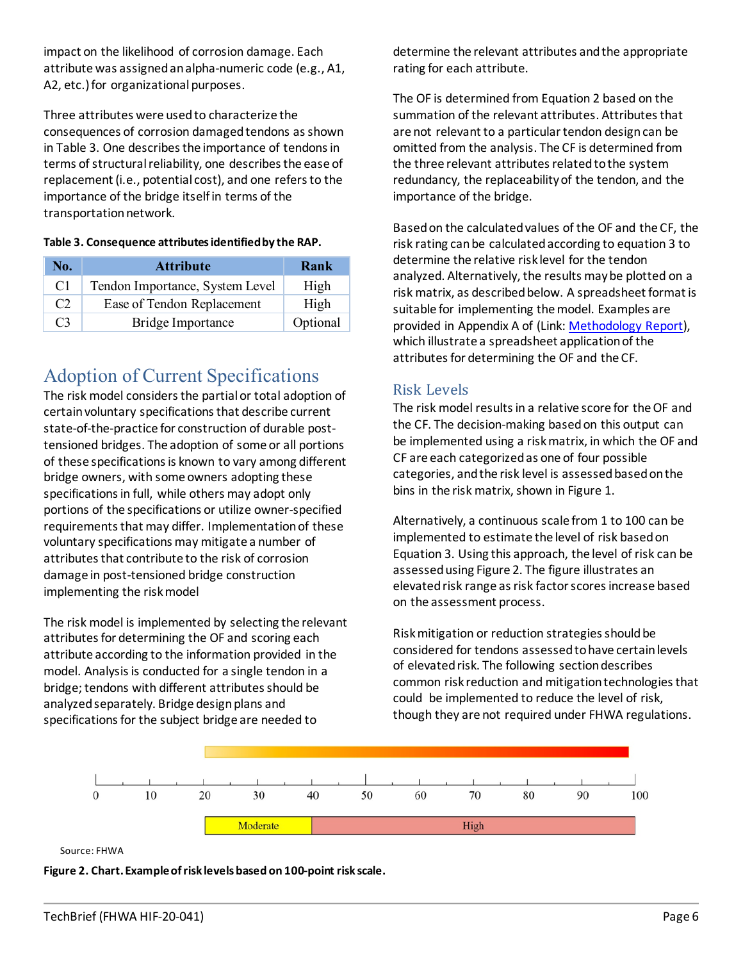impact on the likelihood of corrosion damage. Each attribute was assigned an alpha-numeric code (e.g., A1, A2, etc.) for organizational purposes.

Three attributes were used to characterize the consequences of corrosion damaged tendons as shown in [Table 3.](#page-4-0) One describes the importance of tendons in terms of structural reliability, one describes the ease of replacement (i.e., potential cost), and one refers to the importance of the bridge itself in terms of the transportation network.

<span id="page-4-0"></span>

| Table 3. Consequence attributes identified by the RAP. |
|--------------------------------------------------------|
|--------------------------------------------------------|

| No.            | <b>Attribute</b>                | Rank     |
|----------------|---------------------------------|----------|
| C <sub>1</sub> | Tendon Importance, System Level | High     |
| C <sub>2</sub> | Ease of Tendon Replacement      | High     |
| C <sub>3</sub> | <b>Bridge Importance</b>        | Optional |

### Adoption of Current Specifications

The risk model considers the partial or total adoption of certainvoluntary specifications that describe current state-of-the-practice for construction of durable posttensioned bridges. The adoption of some or all portions of these specifications is known to vary among different bridge owners, with some owners adopting these specifications in full, while others may adopt only portions of the specifications or utilize owner-specified requirements that may differ. Implementation of these voluntary specifications may mitigate a number of attributes that contribute to the risk of corrosion damage in post-tensioned bridge construction implementing the risk model

The risk model is implemented by selecting the relevant attributes for determining the OF and scoring each attribute according to the information provided in the model. Analysis is conducted for a single tendon in a bridge; tendons with different attributes should be analyzed separately. Bridge design plans and specifications for the subject bridge are needed to

determine the relevant attributes and the appropriate rating for each attribute.

The OF is determined from Equation 2 based on the summation of the relevant attributes. Attributes that are not relevant to a particular tendon design can be omitted from the analysis. The CF is determined from the three relevant attributes related to the system redundancy, the replaceability of the tendon, and the importance of the bridge.

Based on the calculated values of the OF and the CF, the risk rating can be calculated according to equation 3 to determine the relative risk level for the tendon analyzed. Alternatively, the results may be plotted on a risk matrix, as described below. A spreadsheet format is suitable for implementing the model. Examples are provided in Appendix A of (Link: [Methodology Report\)](https://rosap.ntl.bts.gov/view/dot/61404), which illustrate a spreadsheet application of the attributes for determining the OF and the CF.

### Risk Levels

The risk model results in a relative score for the OF and the CF. The decision-making based on this output can be implemented using a risk matrix, in which the OF and CF are each categorized as one of four possible categories, and the risk level is assessed based on the bins in the risk matrix, shown in [Figure 1.](#page-2-0)

Alternatively, a continuous scale from 1 to 100 can be implemented to estimate the level of risk based on Equation 3. Using this approach, the level of risk can be assessed usin[g Figure 2.](#page-4-1) The figure illustrates an elevated risk range as risk factor scores increase based on the assessment process.

Risk mitigation or reduction strategies should be considered for tendons assessed to have certain levels of elevated risk. The following section describes common risk reduction and mitigation technologies that could be implemented to reduce the level of risk, though they are not required under FHWA regulations.



Source: FHWA

<span id="page-4-1"></span>**Figure 2. Chart. Example of risk levels based on 100-point risk scale.**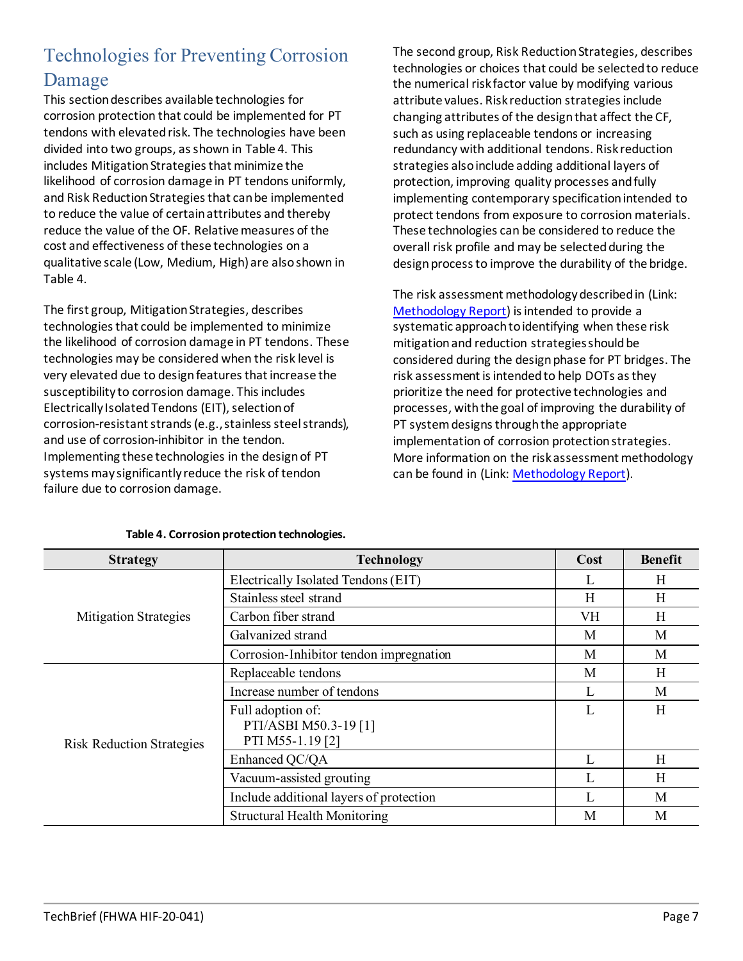### Technologies for Preventing Corrosion Damage

This section describes available technologies for corrosion protection that could be implemented for PT tendons with elevated risk. The technologies have been divided into two groups, as shown in [Table 4.](#page-5-0) This includes Mitigation Strategies that minimize the likelihood of corrosion damage in PT tendons uniformly, and Risk Reduction Strategies that can be implemented to reduce the value of certain attributes and thereby reduce the value of the OF. Relative measures of the cost and effectiveness of these technologies on a qualitative scale (Low, Medium, High) are also shown in [Table 4.](#page-5-0)

The first group, Mitigation Strategies, describes technologies that could be implemented to minimize the likelihood of corrosion damage in PT tendons. These technologies may be considered when the risk level is very elevated due to design features that increase the susceptibility to corrosion damage. This includes Electrically Isolated Tendons (EIT), selection of corrosion-resistant strands (e.g., stainless steel strands), and use of corrosion-inhibitor in the tendon. Implementing these technologies in the design of PT systems may significantly reduce the risk of tendon failure due to corrosion damage.

The second group, Risk Reduction Strategies, describes technologies or choices that could be selected to reduce the numerical risk factor value by modifying various attribute values. Risk reduction strategies include changing attributes of the design that affect the CF, such as using replaceable tendons or increasing redundancy with additional tendons. Risk reduction strategies also include adding additional layers of protection, improving quality processes and fully implementing contemporary specification intended to protect tendons from exposure to corrosion materials. These technologies can be considered to reduce the overall risk profile and may be selected during the design process to improve the durability of the bridge.

The risk assessment methodology described in (Link: [Methodology Report\)](https://rosap.ntl.bts.gov/view/dot/61404) is intended to provide a systematic approach to identifying when these risk mitigation and reduction strategies should be considered during the design phase for PT bridges. The risk assessment is intended to help DOTs as they prioritize the need for protective technologies and processes, with the goal of improving the durability of PT system designs through the appropriate implementation of corrosion protection strategies. More information on the risk assessment methodology can be found in (Link: [Methodology Report\)](https://rosap.ntl.bts.gov/view/dot/61404).

<span id="page-5-0"></span>

| <b>Strategy</b>                  | <b>Technology</b>                                              | Cost | <b>Benefit</b> |
|----------------------------------|----------------------------------------------------------------|------|----------------|
|                                  | Electrically Isolated Tendons (EIT)                            |      | H              |
|                                  | Stainless steel strand                                         | H    | H              |
| <b>Mitigation Strategies</b>     | Carbon fiber strand                                            | VH   | Η              |
|                                  | Galvanized strand                                              | M    | M              |
|                                  | Corrosion-Inhibitor tendon impregnation                        | M    | M              |
|                                  | Replaceable tendons                                            | M    | H              |
|                                  | Increase number of tendons                                     |      | M              |
| <b>Risk Reduction Strategies</b> | Full adoption of:<br>PTI/ASBI M50.3-19 [1]<br>PTI M55-1.19 [2] | L    | H              |
|                                  | Enhanced QC/QA                                                 |      | H              |
|                                  | Vacuum-assisted grouting                                       |      | H              |
|                                  | Include additional layers of protection                        |      | M              |
|                                  | <b>Structural Health Monitoring</b>                            | M    | M              |

#### **Table 4. Corrosion protection technologies.**